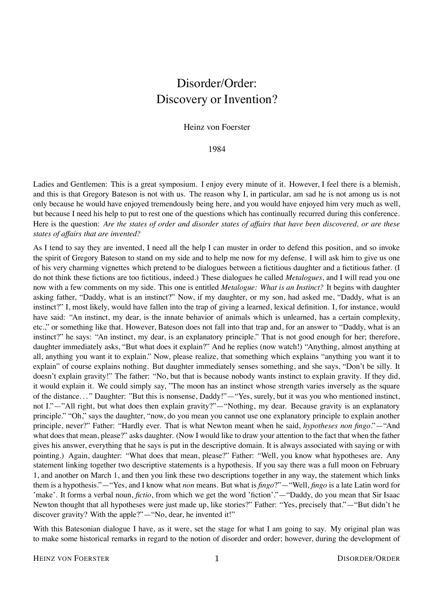# Disorder/Order: Discovery or Invention?

#### Heinz von Foerster

#### 1984

Ladies and Gentlemen: This is a great symposium. I enjoy every minute of it. However, I feel there is a blemish, and this is that Gregory Bateson is not with us. The reason why I, in particular, am sad he is not among us is not only because he would have enjoyed tremendously being here, and you would have enjoyed him very much as well, but because I need his help to put to rest one of the questions which has continually recurred during this conference. Here is the question: Are the states of order and disorder states of affairs that have been discovered, or are these *states of affairs that are invented?*

As I tend to say they are invented, I need all the help I can muster in order to defend this position, and so invoke the spirit of Gregory Bateson to stand on my side and to help me now for my defense. I will ask him to give us one of his very charming vignettes which pretend to be dialogues between a fictitious daughter and a fictitious father. (I do not think these fictions are too fictitious, indeed.) These dialogues he called *Metalogues*, and I will read you one now with a few comments on my side. This one is entitled *Metalogue: What is an Instinct?* It begins with daughter asking father, "Daddy, what is an instinct?" Now, if my daughter, or my son, had asked me, "Daddy, what is an instinct?" I, most likely, would have fallen into the trap of giving a learned, lexical definition. I, for instance, would have said: "An instinct, my dear, is the innate behavior of animals which is unlearned, has a certain complexity, etc.," or something like that. However, Bateson does not fall into that trap and, for an answer to "Daddy, what is an instinct?" he says: "An instinct, my dear, is an explanatory principle." That is not good enough for her; therefore, daughter immediately asks, "But what does it explain?" And he replies (now watch!) "Anything, almost anything at all, anything you want it to explain." Now, please realize, that something which explains "anything you want it to explain" of course explains nothing. But daughter immediately senses something, and she says, "Don't be silly. It doesn't explain gravity!" The father: "No, but that is because nobody wants instinct to explain gravity. If they did, it would explain it. We could simply say, "The moon has an instinct whose strength varies inversely as the square of the distance. . . " Daughter: "But this is nonsense, Daddy!"—"Yes, surely, but it was you who mentioned instinct, not I."—"All right, but what does then explain gravity?"—"Nothing, my dear. Because gravity is an explanatory principle." "Oh," says the daughter, "now, do you mean you cannot use one explanatory principle to explain another principle, never?" Father: "Hardly ever. That is what Newton meant when he said, *hypotheses non fingo*."—"And what does that mean, please?" asks daughter. (Now I would like to draw your attention to the fact that when the father gives his answer, everything that he says is put in the descriptive domain. It is always associated with saying or with pointing.) Again, daughter: "What does that mean, please?" Father: "Well, you know what hypotheses are. Any statement linking together two descriptive statements is a hypothesis. If you say there was a full moon on February 1, and another on March 1, and then you link these two descriptions together in any way, the statement which links them is a hypothesis."—"Yes, and I know what *non* means. But what is *fingo*?"—"Well, *fingo* is a late Latin word for 'make'. It forms a verbal noun, *fictio*, from which we get the word 'fiction'."—"Daddy, do you mean that Sir Isaac Newton thought that all hypotheses were just made up, like stories?" Father: "Yes, precisely that."—"But didn't he discover gravity? With the apple?"—"No, dear, he invented it!"

With this Batesonian dialogue I have, as it were, set the stage for what I am going to say. My original plan was to make some historical remarks in regard to the notion of disorder and order; however, during the development of

HEINZ VON FOERSTER 1 DISORDER/ORDER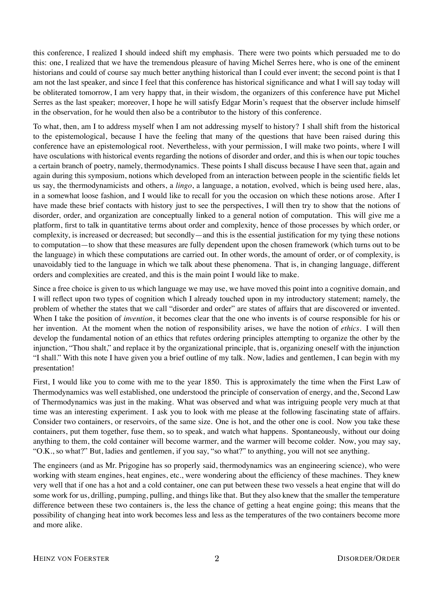this conference, I realized I should indeed shift my emphasis. There were two points which persuaded me to do this: one, I realized that we have the tremendous pleasure of having Michel Serres here, who is one of the eminent historians and could of course say much better anything historical than I could ever invent; the second point is that I am not the last speaker, and since I feel that this conference has historical significance and what I will say today will be obliterated tomorrow, I am very happy that, in their wisdom, the organizers of this conference have put Michel Serres as the last speaker; moreover, I hope he will satisfy Edgar Morin's request that the observer include himself in the observation, for he would then also be a contributor to the history of this conference.

To what, then, am I to address myself when I am not addressing myself to history? I shall shift from the historical to the epistemological, because I have the feeling that many of the questions that have been raised during this conference have an epistemological root. Nevertheless, with your permission, I will make two points, where I will have osculations with historical events regarding the notions of disorder and order, and this is when our topic touches a certain branch of poetry, namely, thermodynamics. These points I shall discuss because I have seen that, again and again during this symposium, notions which developed from an interaction between people in the scientific fields let us say, the thermodynamicists and others, a *lingo*, a language, a notation, evolved, which is being used here, alas, in a somewhat loose fashion, and I would like to recall for you the occasion on which these notions arose. After I have made these brief contacts with history just to see the perspectives, I will then try to show that the notions of disorder, order, and organization are conceptually linked to a general notion of computation. This will give me a platform, first to talk in quantitative terms about order and complexity, hence of those processes by which order, or complexity, is increased or decreased; but secondly—and this is the essential justification for my tying these notions to computation—to show that these measures are fully dependent upon the chosen framework (which turns out to be the language) in which these computations are carried out. In other words, the amount of order, or of complexity, is unavoidably tied to the language in which we talk about these phenomena. That is, in changing language, different orders and complexities are created, and this is the main point I would like to make.

Since a free choice is given to us which language we may use, we have moved this point into a cognitive domain, and I will reflect upon two types of cognition which I already touched upon in my introductory statement; namely, the problem of whether the states that we call "disorder and order" are states of affairs that are discovered or invented. When I take the position of *invention*, it becomes clear that the one who invents is of course responsible for his or her invention. At the moment when the notion of responsibility arises, we have the notion of *ethics*. I will then develop the fundamental notion of an ethics that refutes ordering principles attempting to organize the other by the injunction, "Thou shalt," and replace it by the organizational principle, that is, organizing oneself with the injunction "I shall." With this note I have given you a brief outline of my talk. Now, ladies and gentlemen, I can begin with my presentation!

First, I would like you to come with me to the year 1850. This is approximately the time when the First Law of Thermodynamics was well established, one understood the principle of conservation of energy, and the, Second Law of Thermodynamics was just in the making. What was observed and what was intriguing people very much at that time was an interesting experiment. I ask you to look with me please at the following fascinating state of affairs. Consider two containers, or reservoirs, of the same size. One is hot, and the other one is cool. Now you take these containers, put them together, fuse them, so to speak, and watch what happens. Spontaneously, without our doing anything to them, the cold container will become warmer, and the warmer will become colder. Now, you may say, "O.K., so what?" But, ladies and gentlemen, if you say, "so what?" to anything, you will not see anything.

The engineers (and as Mr. Prigogine has so properly said, thermodynamics was an engineering science), who were working with steam engines, heat engines, etc., were wondering about the efficiency of these machines. They knew very well that if one has a hot and a cold container, one can put between these two vessels a heat engine that will do some work for us, drilling, pumping, pulling, and things like that. But they also knew that the smaller the temperature difference between these two containers is, the less the chance of getting a heat engine going; this means that the possibility of changing heat into work becomes less and less as the temperatures of the two containers become more and more alike.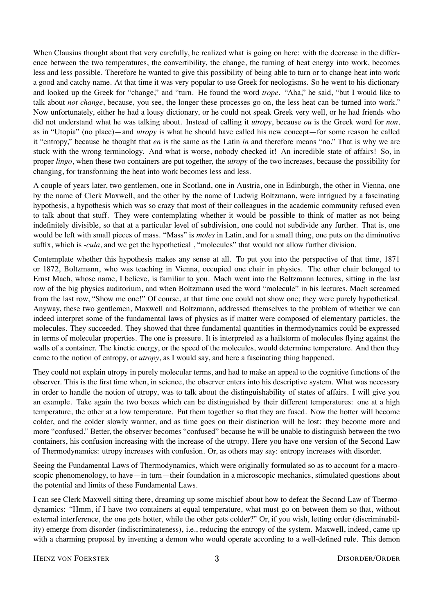When Clausius thought about that very carefully, he realized what is going on here: with the decrease in the difference between the two temperatures, the convertibility, the change, the turning of heat energy into work, becomes less and less possible. Therefore he wanted to give this possibility of being able to turn or to change heat into work a good and catchy name. At that time it was very popular to use Greek for neologisms. So he went to his dictionary and looked up the Greek for "change," and "turn. He found the word *trope*. "Aha," he said, "but I would like to talk about *not change*, because, you see, the longer these processes go on, the less heat can be turned into work." Now unfortunately, either he had a lousy dictionary, or he could not speak Greek very well, or he had friends who did not understand what he was talking about. Instead of calling it *utropy*, because *ou* is the Greek word for *non*, as in "Utopia" (no place)—and *utropy* is what he should have called his new concept—for some reason he called it "entropy," because he thought that *en* is the same as the Latin *in* and therefore means "no." That is why we are stuck with the wrong terminology. And what is worse, nobody checked it! An incredible state of affairs! So, in proper *lingo*, when these two containers are put together, the *utropy* of the two increases, because the possibility for changing, for transforming the heat into work becomes less and less.

A couple of years later, two gentlemen, one in Scotland, one in Austria, one in Edinburgh, the other in Vienna, one by the name of Clerk Maxwell, and the other by the name of Ludwig Boltzmann, were intrigued by a fascinating hypothesis, a hypothesis which was so crazy that most of their colleagues in the academic community refused even to talk about that stuff. They were contemplating whether it would be possible to think of matter as not being indefinitely divisible, so that at a particular level of subdivision, one could not subdivide any further. That is, one would be left with small pieces of mass. "Mass" is *moles* in Latin, and for a small thing, one puts on the diminutive suffix, which is *-cula*, and we get the hypothetical, "molecules" that would not allow further division.

Contemplate whether this hypothesis makes any sense at all. To put you into the perspective of that time, 1871 or 1872, Boltzmann, who was teaching in Vienna, occupied one chair in physics. The other chair belonged to Ernst Mach, whose name, I believe, is familiar to you. Mach went into the Boltzmann lectures, sitting in the last row of the big physics auditorium, and when Boltzmann used the word "molecule" in his lectures, Mach screamed from the last row, "Show me one!" Of course, at that time one could not show one; they were purely hypothetical. Anyway, these two gentlemen, Maxwell and Boltzmann, addressed themselves to the problem of whether we can indeed interpret some of the fundamental laws of physics as if matter were composed of elementary particles, the molecules. They succeeded. They showed that three fundamental quantities in thermodynamics could be expressed in terms of molecular properties. The one is pressure. It is interpreted as a hailstorm of molecules flying against the walls of a container. The kinetic energy, or the speed of the molecules, would determine temperature. And then they came to the notion of entropy, or *utropy*, as I would say, and here a fascinating thing happened.

They could not explain utropy in purely molecular terms, and had to make an appeal to the cognitive functions of the observer. This is the first time when, in science, the observer enters into his descriptive system. What was necessary in order to handle the notion of utropy, was to talk about the distinguishability of states of affairs. I will give you an example. Take again the two boxes which can be distinguished by their different temperatures: one at a high temperature, the other at a low temperature. Put them together so that they are fused. Now the hotter will become colder, and the colder slowly warmer, and as time goes on their distinction will be lost: they become more and more "confused." Better, the observer becomes "confused" because he will be unable to distinguish between the two containers, his confusion increasing with the increase of the utropy. Here you have one version of the Second Law of Thermodynamics: utropy increases with confusion. Or, as others may say: entropy increases with disorder.

Seeing the Fundamental Laws of Thermodynamics, which were originally formulated so as to account for a macroscopic phenomenology, to have—in turn—their foundation in a microscopic mechanics, stimulated questions about the potential and limits of these Fundamental Laws.

I can see Clerk Maxwell sitting there, dreaming up some mischief about how to defeat the Second Law of Thermodynamics: "Hmm, if I have two containers at equal temperature, what must go on between them so that, without external interference, the one gets hotter, while the other gets colder?" Or, if you wish, letting order (discriminability) emerge from disorder (indiscriminateness), i.e., reducing the entropy of the system. Maxwell, indeed, came up with a charming proposal by inventing a demon who would operate according to a well-defined rule. This demon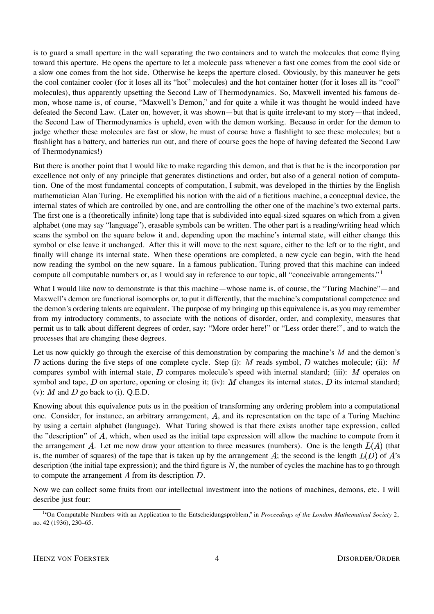is to guard a small aperture in the wall separating the two containers and to watch the molecules that come flying toward this aperture. He opens the aperture to let a molecule pass whenever a fast one comes from the cool side or a slow one comes from the hot side. Otherwise he keeps the aperture closed. Obviously, by this maneuver he gets the cool container cooler (for it loses all its "hot" molecules) and the hot container hotter (for it loses all its "cool" molecules), thus apparently upsetting the Second Law of Thermodynamics. So, Maxwell invented his famous demon, whose name is, of course, "Maxwell's Demon," and for quite a while it was thought he would indeed have defeated the Second Law. (Later on, however, it was shown—but that is quite irrelevant to my story—that indeed, the Second Law of Thermodynamics is upheld, even with the demon working. Because in order for the demon to judge whether these molecules are fast or slow, he must of course have a flashlight to see these molecules; but a flashlight has a battery, and batteries run out, and there of course goes the hope of having defeated the Second Law of Thermodynamics!)

But there is another point that I would like to make regarding this demon, and that is that he is the incorporation par excellence not only of any principle that generates distinctions and order, but also of a general notion of computation. One of the most fundamental concepts of computation, I submit, was developed in the thirties by the English mathematician Alan Turing. He exemplified his notion with the aid of a fictitious machine, a conceptual device, the internal states of which are controlled by one, and are controlling the other one of the machine's two external parts. The first one is a (theoretically infinite) long tape that is subdivided into equal-sized squares on which from a given alphabet (one may say "language"), erasable symbols can be written. The other part is a reading/writing head which scans the symbol on the square below it and, depending upon the machine's internal state, will either change this symbol or else leave it unchanged. After this it will move to the next square, either to the left or to the right, and finally will change its internal state. When these operations are completed, a new cycle can begin, with the head now reading the symbol on the new square. In a famous publication, Turing proved that this machine can indeed compute all computable numbers or, as I would say in reference to our topic, all "conceivable arrangements."<sup>1</sup>

What I would like now to demonstrate is that this machine—whose name is, of course, the "Turing Machine"—and Maxwell's demon are functional isomorphs or, to put it differently, that the machine's computational competence and the demon's ordering talents are equivalent. The purpose of my bringing up this equivalence is, as you may remember from my introductory comments, to associate with the notions of disorder, order, and complexity, measures that permit us to talk about different degrees of order, say: "More order here!" or "Less order there!", and to watch the processes that are changing these degrees.

Let us now quickly go through the exercise of this demonstration by comparing the machine's  $M$  and the demon's D actions during the five steps of one complete cycle. Step (i): M reads symbol, D watches molecule; (ii): M compares symbol with internal state,  $D$  compares molecule's speed with internal standard; (iii):  $M$  operates on symbol and tape,  $D$  on aperture, opening or closing it; (iv):  $M$  changes its internal states,  $D$  its internal standard; (v):  $M$  and  $D$  go back to (i). Q.E.D.

Knowing about this equivalence puts us in the position of transforming any ordering problem into a computational one. Consider, for instance, an arbitrary arrangement,  $A$ , and its representation on the tape of a Turing Machine by using a certain alphabet (language). What Turing showed is that there exists another tape expression, called the "description" of  $A$ , which, when used as the initial tape expression will allow the machine to compute from it the arrangement A. Let me now draw your attention to three measures (numbers). One is the length  $L(A)$  (that is, the number of squares) of the tape that is taken up by the arrangement A; the second is the length  $L(D)$  of A's description (the initial tape expression); and the third figure is  $N$ , the number of cycles the machine has to go through to compute the arrangement  $\vec{A}$  from its description  $\vec{D}$ .

Now we can collect some fruits from our intellectual investment into the notions of machines, demons, etc. I will describe just four:

<sup>1</sup> "On Computable Numbers with an Application to the Entscheidungsproblem," in *Proceedings of the London Mathematical Society* 2, no. 42 (1936), 230–65.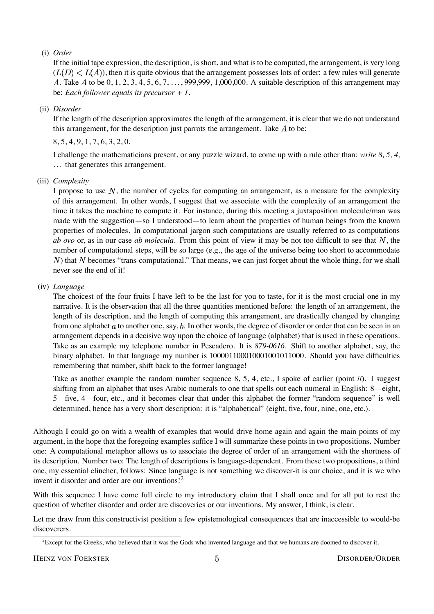### (i) *Order*

If the initial tape expression, the description, isshort, and what isto be computed, the arrangement, is very long  $(L(D) < L(A))$ , then it is quite obvious that the arrangement possesses lots of order: a few rules will generate A. Take A to be  $0, 1, 2, 3, 4, 5, 6, 7, \ldots$ , 999,999, 1,000,000. A suitable description of this arrangement may be: *Each follower equals its precursor + 1*.

#### (ii) *Disorder*

If the length of the description approximates the length of the arrangement, it is clear that we do not understand this arrangement, for the description just parrots the arrangement. Take  $A$  to be:

8, 5, 4, 9, 1, 7, 6, 3, 2, 0.

I challenge the mathematicians present, or any puzzle wizard, to come up with a rule other than: *write 8, 5, 4, . . .* that generates this arrangement.

### (iii) *Complexity*

I propose to use  $N$ , the number of cycles for computing an arrangement, as a measure for the complexity of this arrangement. In other words, I suggest that we associate with the complexity of an arrangement the time it takes the machine to compute it. For instance, during this meeting a juxtaposition molecule/man was made with the suggestion—so I understood—to learn about the properties of human beings from the known properties of molecules. In computational jargon such computations are usually referred to as computations *ab ovo* or, as in our case *ab molecula*. From this point of view it may be not too difficult to see that  $N$ , the number of computational steps, will be so large (e.g., the age of the universe being too short to accommodate  $N$ ) that  $N$  becomes "trans-computational." That means, we can just forget about the whole thing, for we shall never see the end of it!

### (iv) *Language*

The choicest of the four fruits I have left to be the last for you to taste, for it is the most crucial one in my narrative. It is the observation that all the three quantities mentioned before: the length of an arrangement, the length of its description, and the length of computing this arrangement, are drastically changed by changing from one alphabet  $a$  to another one, say,  $b$ . In other words, the degree of disorder or order that can be seen in an arrangement depends in a decisive way upon the choice of language (alphabet) that is used in these operations. Take as an example my telephone number in Pescadero. It is *879-0616*. Shift to another alphabet, say, the binary alphabet. In that language my number is 100001100010001001011000. Should you have difficulties remembering that number, shift back to the former language!

Take as another example the random number sequence 8, 5, 4, etc., I spoke of earlier (point *ii*). I suggest shifting from an alphabet that uses Arabic numerals to one that spells out each numeral in English: 8—eight, 5—five, 4—four, etc., and it becomes clear that under this alphabet the former "random sequence" is well determined, hence has a very short description: it is "alphabetical" (eight, five, four, nine, one, etc.).

Although I could go on with a wealth of examples that would drive home again and again the main points of my argument, in the hope that the foregoing examples suffice I will summarize these points in two propositions. Number one: A computational metaphor allows us to associate the degree of order of an arrangement with the shortness of its description. Number two: The length of descriptions is language-dependent. From these two propositions, a third one, my essential clincher, follows: Since language is not something we discover-it is our choice, and it is we who invent it disorder and order are our inventions!<sup>2</sup>

With this sequence I have come full circle to my introductory claim that I shall once and for all put to rest the question of whether disorder and order are discoveries or our inventions. My answer, I think, is clear.

Let me draw from this constructivist position a few epistemological consequences that are inaccessible to would-be discoverers.

 ${}^{2}$ Except for the Greeks, who believed that it was the Gods who invented language and that we humans are doomed to discover it.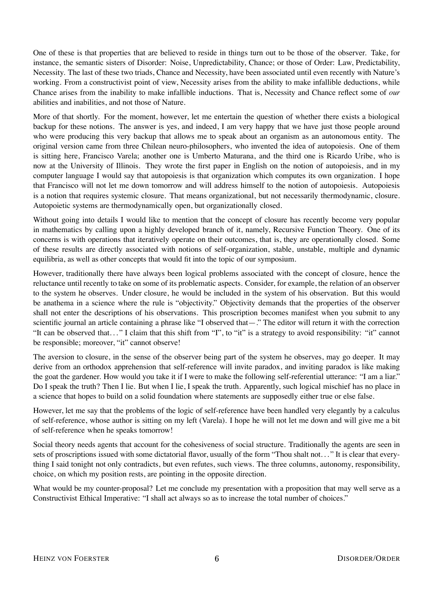One of these is that properties that are believed to reside in things turn out to be those of the observer. Take, for instance, the semantic sisters of Disorder: Noise, Unpredictability, Chance; or those of Order: Law, Predictability, Necessity. The last of these two triads, Chance and Necessity, have been associated until even recently with Nature's working. From a constructivist point of view, Necessity arises from the ability to make infallible deductions, while Chance arises from the inability to make infallible inductions. That is, Necessity and Chance reflect some of *our* abilities and inabilities, and not those of Nature.

More of that shortly. For the moment, however, let me entertain the question of whether there exists a biological backup for these notions. The answer is yes, and indeed, I am very happy that we have just those people around who were producing this very backup that allows me to speak about an organism as an autonomous entity. The original version came from three Chilean neuro-philosophers, who invented the idea of autopoiesis. One of them is sitting here, Francisco Varela; another one is Umberto Maturana, and the third one is Ricardo Uribe, who is now at the University of Illinois. They wrote the first paper in English on the notion of autopoiesis, and in my computer language I would say that autopoiesis is that organization which computes its own organization. I hope that Francisco will not let me down tomorrow and will address himself to the notion of autopoiesis. Autopoiesis is a notion that requires systemic closure. That means organizational, but not necessarily thermodynamic, closure. Autopoietic systems are thermodynamically open, but organizationally closed.

Without going into details I would like to mention that the concept of closure has recently become very popular in mathematics by calling upon a highly developed branch of it, namely, Recursive Function Theory. One of its concerns is with operations that iteratively operate on their outcomes, that is, they are operationally closed. Some of these results are directly associated with notions of self-organization, stable, unstable, multiple and dynamic equilibria, as well as other concepts that would fit into the topic of our symposium.

However, traditionally there have always been logical problems associated with the concept of closure, hence the reluctance until recently to take on some of its problematic aspects. Consider, for example, the relation of an observer to the system he observes. Under closure, he would be included in the system of his observation. But this would be anathema in a science where the rule is "objectivity." Objectivity demands that the properties of the observer shall not enter the descriptions of his observations. This proscription becomes manifest when you submit to any scientific journal an article containing a phrase like "I observed that—." The editor will return it with the correction "It can be observed that. . . " I claim that this shift from "I", to "it" is a strategy to avoid responsibility: "it" cannot be responsible; moreover, "it" cannot observe!

The aversion to closure, in the sense of the observer being part of the system he observes, may go deeper. It may derive from an orthodox apprehension that self-reference will invite paradox, and inviting paradox is like making the goat the gardener. How would you take it if I were to make the following self-referential utterance: "I am a liar." Do I speak the truth? Then I lie. But when I lie, I speak the truth. Apparently, such logical mischief has no place in a science that hopes to build on a solid foundation where statements are supposedly either true or else false.

However, let me say that the problems of the logic of self-reference have been handled very elegantly by a calculus of self-reference, whose author is sitting on my left (Varela). I hope he will not let me down and will give me a bit of self-reference when he speaks tomorrow!

Social theory needs agents that account for the cohesiveness of social structure. Traditionally the agents are seen in sets of proscriptions issued with some dictatorial flavor, usually of the form "Thou shalt not. . . " It is clear that everything I said tonight not only contradicts, but even refutes, such views. The three columns, autonomy, responsibility, choice, on which my position rests, are pointing in the opposite direction.

What would be my counter-proposal? Let me conclude my presentation with a proposition that may well serve as a Constructivist Ethical Imperative: "I shall act always so as to increase the total number of choices."